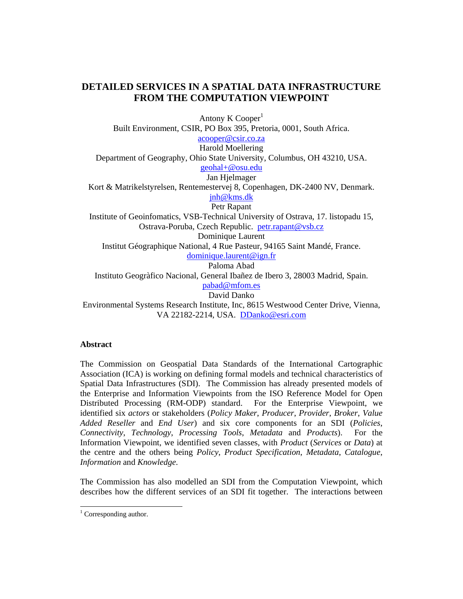# **DETAILED SERVICES IN A SPATIAL DATA INFRASTRUCTURE FROM THE COMPUTATION VIEWPOINT**

Antony  $K$  Cooper<sup>1</sup>

Built Environment, CSIR, PO Box 395, Pretoria, 0001, South Africa.

acooper@csir.co.za

Harold Moellering Department of Geography, Ohio State University, Columbus, OH 43210, USA.

geohal+@osu.edu

Jan Hjelmager

Kort & Matrikelstyrelsen, Rentemestervej 8, Copenhagen, DK-2400 NV, Denmark. jnh@kms.dk

Petr Rapant

Institute of Geoinfomatics, VSB-Technical University of Ostrava, 17. listopadu 15, Ostrava-Poruba, Czech Republic. petr.rapant@vsb.cz

Dominique Laurent

Institut Géographique National, 4 Rue Pasteur, 94165 Saint Mandé, France.

dominique.laurent@ign.fr

Paloma Abad

Instituto Geogràfico Nacional, General Ibañez de Ibero 3, 28003 Madrid, Spain.

pabad@mfom.es

David Danko

Environmental Systems Research Institute, Inc, 8615 Westwood Center Drive, Vienna, VA 22182-2214, USA. DDanko@esri.com

## **Abstract**

The Commission on Geospatial Data Standards of the International Cartographic Association (ICA) is working on defining formal models and technical characteristics of Spatial Data Infrastructures (SDI). The Commission has already presented models of the Enterprise and Information Viewpoints from the ISO Reference Model for Open Distributed Processing (RM-ODP) standard. For the Enterprise Viewpoint, we identified six *actors* or stakeholders (*Policy Maker*, *Producer*, *Provider*, *Broker*, *Value Added Reseller* and *End User*) and six core components for an SDI (*Policies*, *Connectivity*, *Technology*, *Processing Tools*, *Metadata* and *Products*). For the Information Viewpoint, we identified seven classes, with *Product* (*Services* or *Data*) at the centre and the others being *Policy*, *Product Specification*, *Metadata*, *Catalogue*, *Information* and *Knowledge*.

The Commission has also modelled an SDI from the Computation Viewpoint, which describes how the different services of an SDI fit together. The interactions between

<sup>&</sup>lt;sup>1</sup> Corresponding author.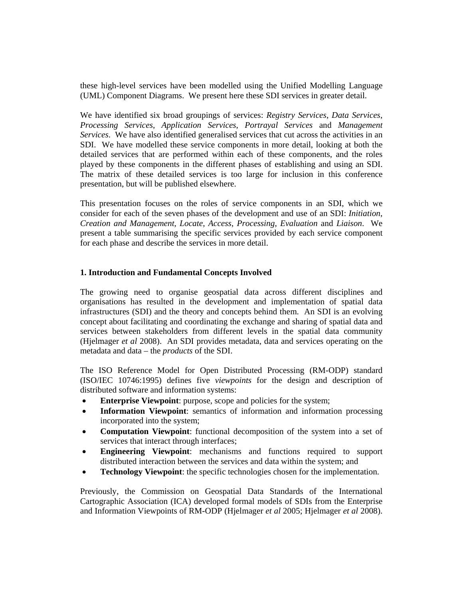these high-level services have been modelled using the Unified Modelling Language (UML) Component Diagrams. We present here these SDI services in greater detail.

We have identified six broad groupings of services: *Registry Services*, *Data Services*, *Processing Services*, *Application Services*, *Portrayal Services* and *Management Services*. We have also identified generalised services that cut across the activities in an SDI. We have modelled these service components in more detail, looking at both the detailed services that are performed within each of these components, and the roles played by these components in the different phases of establishing and using an SDI. The matrix of these detailed services is too large for inclusion in this conference presentation, but will be published elsewhere.

This presentation focuses on the roles of service components in an SDI, which we consider for each of the seven phases of the development and use of an SDI: *Initiation*, *Creation and Management*, *Locate*, *Access*, *Processing*, *Evaluation* and *Liaison*. We present a table summarising the specific services provided by each service component for each phase and describe the services in more detail.

### **1. Introduction and Fundamental Concepts Involved**

The growing need to organise geospatial data across different disciplines and organisations has resulted in the development and implementation of spatial data infrastructures (SDI) and the theory and concepts behind them. An SDI is an evolving concept about facilitating and coordinating the exchange and sharing of spatial data and services between stakeholders from different levels in the spatial data community (Hjelmager *et al* 2008). An SDI provides metadata, data and services operating on the metadata and data – the *products* of the SDI.

The ISO Reference Model for Open Distributed Processing (RM-ODP) standard (ISO/IEC 10746:1995) defines five *viewpoints* for the design and description of distributed software and information systems:

- **Enterprise Viewpoint:** purpose, scope and policies for the system;
- **Information Viewpoint**: semantics of information and information processing incorporated into the system;
- **Computation Viewpoint**: functional decomposition of the system into a set of services that interact through interfaces;
- **Engineering Viewpoint**: mechanisms and functions required to support distributed interaction between the services and data within the system; and
- **Technology Viewpoint:** the specific technologies chosen for the implementation.

Previously, the Commission on Geospatial Data Standards of the International Cartographic Association (ICA) developed formal models of SDIs from the Enterprise and Information Viewpoints of RM-ODP (Hjelmager *et al* 2005; Hjelmager *et al* 2008).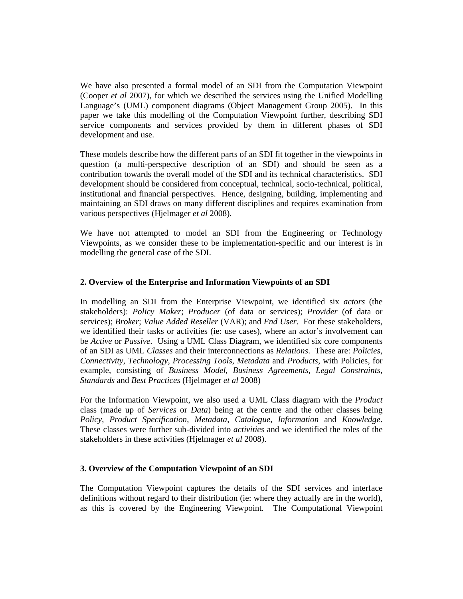We have also presented a formal model of an SDI from the Computation Viewpoint (Cooper *et al* 2007), for which we described the services using the Unified Modelling Language's (UML) component diagrams (Object Management Group 2005). In this paper we take this modelling of the Computation Viewpoint further, describing SDI service components and services provided by them in different phases of SDI development and use.

These models describe how the different parts of an SDI fit together in the viewpoints in question (a multi-perspective description of an SDI) and should be seen as a contribution towards the overall model of the SDI and its technical characteristics. SDI development should be considered from conceptual, technical, socio-technical, political, institutional and financial perspectives. Hence, designing, building, implementing and maintaining an SDI draws on many different disciplines and requires examination from various perspectives (Hjelmager *et al* 2008).

We have not attempted to model an SDI from the Engineering or Technology Viewpoints, as we consider these to be implementation-specific and our interest is in modelling the general case of the SDI.

### **2. Overview of the Enterprise and Information Viewpoints of an SDI**

In modelling an SDI from the Enterprise Viewpoint, we identified six *actors* (the stakeholders): *Policy Maker*; *Producer* (of data or services); *Provider* (of data or services); *Broker*; *Value Added Reseller* (VAR); and *End User*. For these stakeholders, we identified their tasks or activities (ie: use cases), where an actor's involvement can be *Active* or *Passive*. Using a UML Class Diagram, we identified six core components of an SDI as UML *Classes* and their interconnections as *Relations*. These are: *Policies*, *Connectivity*, *Technology*, *Processing Tools*, *Metadata* and *Products*, with Policies, for example, consisting of *Business Model*, *Business Agreements*, *Legal Constraints*, *Standards* and *Best Practices* (Hjelmager *et al* 2008)

For the Information Viewpoint, we also used a UML Class diagram with the *Product* class (made up of *Services* or *Data*) being at the centre and the other classes being *Policy*, *Product Specification*, *Metadata*, *Catalogue*, *Information* and *Knowledge*. These classes were further sub-divided into *activities* and we identified the roles of the stakeholders in these activities (Hjelmager *et al* 2008).

#### **3. Overview of the Computation Viewpoint of an SDI**

The Computation Viewpoint captures the details of the SDI services and interface definitions without regard to their distribution (ie: where they actually are in the world), as this is covered by the Engineering Viewpoint. The Computational Viewpoint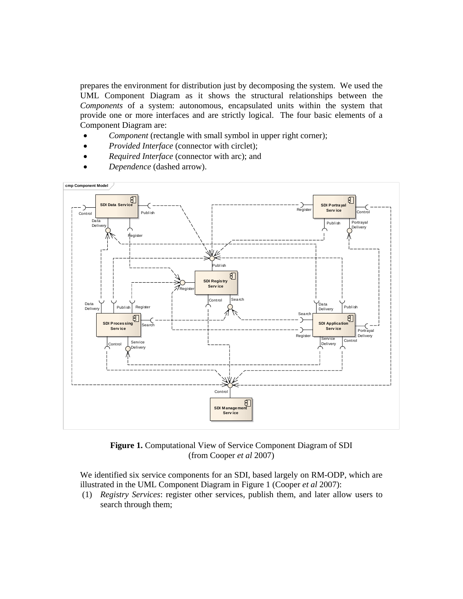prepares the environment for distribution just by decomposing the system. We used the UML Component Diagram as it shows the structural relationships between the *Components* of a system: autonomous, encapsulated units within the system that provide one or more interfaces and are strictly logical. The four basic elements of a Component Diagram are:

- *Component* (rectangle with small symbol in upper right corner);
- *Provided Interface* (connector with circlet);
- *Required Interface* (connector with arc); and
- *Dependence* (dashed arrow).



**Figure 1.** Computational View of Service Component Diagram of SDI (from Cooper *et al* 2007)

We identified six service components for an SDI, based largely on RM-ODP, which are illustrated in the UML Component Diagram in Figure 1 (Cooper *et al* 2007):

(1) *Registry Services*: register other services, publish them, and later allow users to search through them;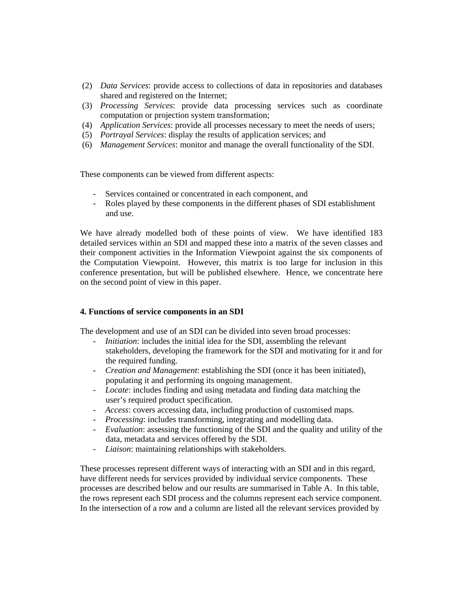- (2) *Data Services*: provide access to collections of data in repositories and databases shared and registered on the Internet;
- (3) *Processing Services*: provide data processing services such as coordinate computation or projection system transformation;
- (4) *Application Services*: provide all processes necessary to meet the needs of users;
- (5) *Portrayal Services*: display the results of application services; and
- (6) *Management Services*: monitor and manage the overall functionality of the SDI.

These components can be viewed from different aspects:

- Services contained or concentrated in each component, and
- Roles played by these components in the different phases of SDI establishment and use.

We have already modelled both of these points of view. We have identified 183 detailed services within an SDI and mapped these into a matrix of the seven classes and their component activities in the Information Viewpoint against the six components of the Computation Viewpoint. However, this matrix is too large for inclusion in this conference presentation, but will be published elsewhere. Hence, we concentrate here on the second point of view in this paper.

### **4. Functions of service components in an SDI**

The development and use of an SDI can be divided into seven broad processes:

- *Initiation*: includes the initial idea for the SDI, assembling the relevant stakeholders, developing the framework for the SDI and motivating for it and for the required funding.
- *Creation and Management*: establishing the SDI (once it has been initiated), populating it and performing its ongoing management.
- *Locate*: includes finding and using metadata and finding data matching the user's required product specification.
- *Access*: covers accessing data, including production of customised maps.
- *Processing*: includes transforming, integrating and modelling data.
- *Evaluation*: assessing the functioning of the SDI and the quality and utility of the data, metadata and services offered by the SDI.
- *Liaison*: maintaining relationships with stakeholders.

These processes represent different ways of interacting with an SDI and in this regard, have different needs for services provided by individual service components. These processes are described below and our results are summarised in Table A. In this table, the rows represent each SDI process and the columns represent each service component. In the intersection of a row and a column are listed all the relevant services provided by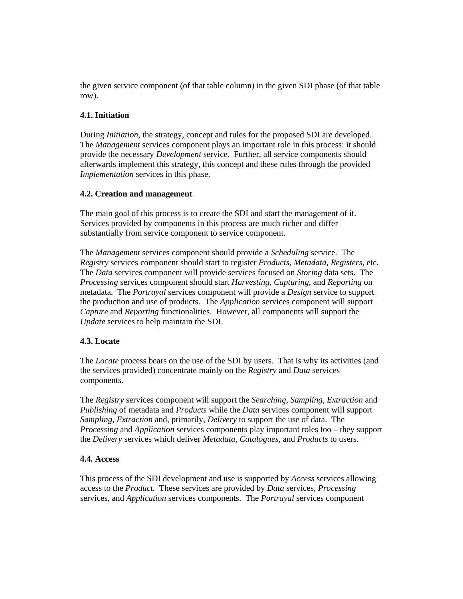the given service component (of that table column) in the given SDI phase (of that table row).

### **4.1. Initiation**

During *Initiation*, the strategy, concept and rules for the proposed SDI are developed. The *Management* services component plays an important role in this process: it should provide the necessary *Development* service. Further, all service components should afterwards implement this strategy, this concept and these rules through the provided *Implementation* services in this phase.

### **4.2. Creation and management**

The main goal of this process is to create the SDI and start the management of it. Services provided by components in this process are much richer and differ substantially from service component to service component.

The *Management* services component should provide a *Scheduling* service. The *Registry* services component should start to register *Products*, *Metadata*, *Registers*, etc. The *Data* services component will provide services focused on *Storing* data sets. The *Processing* services component should start *Harvesting*, *Capturing*, and *Reporting* on metadata. The *Portrayal* services component will provide a *Design* service to support the production and use of products. The *Application* services component will support *Capture* and *Reporting* functionalities. However, all components will support the *Update* services to help maintain the SDI.

## **4.3. Locate**

The *Locate* process bears on the use of the SDI by users. That is why its activities (and the services provided) concentrate mainly on the *Registry* and *Data* services components.

The *Registry* services component will support the *Searching*, *Sampling*, *Extraction* and *Publishing* of metadata and *Products* while the *Data* services component will support *Sampling*, *Extraction* and, primarily, *Delivery* to support the use of data. The *Processing* and *Application* services components play important roles too – they support the *Delivery* services which deliver *Metadata*, *Catalogues*, and *Products* to users.

### **4.4. Access**

This process of the SDI development and use is supported by *Access* services allowing access to the *Product*. These services are provided by *Data* services, *Processing* services, and *Application* services components. The *Portrayal* services component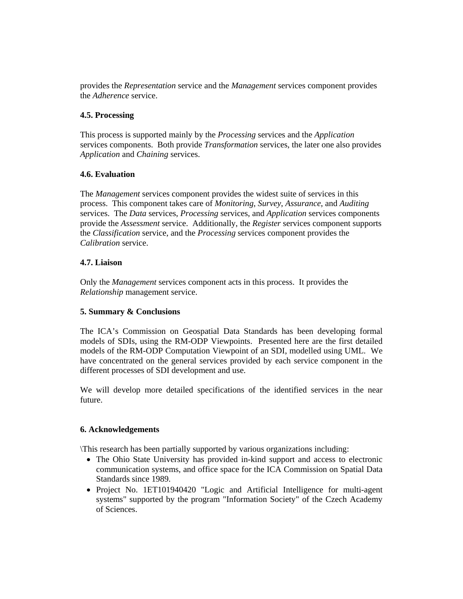provides the *Representation* service and the *Management* services component provides the *Adherence* service.

### **4.5. Processing**

This process is supported mainly by the *Processing* services and the *Application* services components. Both provide *Transformation* services, the later one also provides *Application* and *Chaining* services.

### **4.6. Evaluation**

The *Management* services component provides the widest suite of services in this process. This component takes care of *Monitoring*, *Survey*, *Assurance*, and *Auditing* services. The *Data* services, *Processing* services, and *Application* services components provide the *Assessment* service. Additionally, the *Register* services component supports the *Classification* service, and the *Processing* services component provides the *Calibration* service.

### **4.7. Liaison**

Only the *Management* services component acts in this process. It provides the *Relationship* management service.

## **5. Summary & Conclusions**

The ICA's Commission on Geospatial Data Standards has been developing formal models of SDIs, using the RM-ODP Viewpoints. Presented here are the first detailed models of the RM-ODP Computation Viewpoint of an SDI, modelled using UML. We have concentrated on the general services provided by each service component in the different processes of SDI development and use.

We will develop more detailed specifications of the identified services in the near future.

### **6. Acknowledgements**

\This research has been partially supported by various organizations including:

- The Ohio State University has provided in-kind support and access to electronic communication systems, and office space for the ICA Commission on Spatial Data Standards since 1989.
- Project No. 1ET101940420 "Logic and Artificial Intelligence for multi-agent systems" supported by the program "Information Society" of the Czech Academy of Sciences.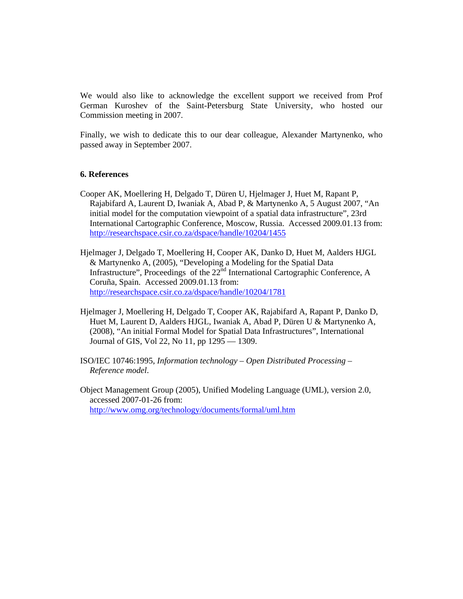We would also like to acknowledge the excellent support we received from Prof German Kuroshev of the Saint-Petersburg State University, who hosted our Commission meeting in 2007.

Finally, we wish to dedicate this to our dear colleague, Alexander Martynenko, who passed away in September 2007.

### **6. References**

- Cooper AK, Moellering H, Delgado T, Düren U, Hjelmager J, Huet M, Rapant P, Rajabifard A, Laurent D, Iwaniak A, Abad P, & Martynenko A, 5 August 2007, "An initial model for the computation viewpoint of a spatial data infrastructure", 23rd International Cartographic Conference, Moscow, Russia. Accessed 2009.01.13 from: http://researchspace.csir.co.za/dspace/handle/10204/1455
- Hjelmager J, Delgado T, Moellering H, Cooper AK, Danko D, Huet M, Aalders HJGL & Martynenko A, (2005), "Developing a Modeling for the Spatial Data Infrastructure", Proceedings of the  $22<sup>nd</sup>$  International Cartographic Conference, A Coruña, Spain. Accessed 2009.01.13 from: http://researchspace.csir.co.za/dspace/handle/10204/1781
- Hjelmager J, Moellering H, Delgado T, Cooper AK, Rajabifard A, Rapant P, Danko D, Huet M, Laurent D, Aalders HJGL, Iwaniak A, Abad P, Düren U & Martynenko A, (2008), "An initial Formal Model for Spatial Data Infrastructures", International Journal of GIS, Vol 22, No 11, pp 1295 — 1309.
- ISO/IEC 10746:1995, *Information technology Open Distributed Processing Reference model*.
- Object Management Group (2005), Unified Modeling Language (UML), version 2.0, accessed 2007-01-26 from: http://www.omg.org/technology/documents/formal/uml.htm